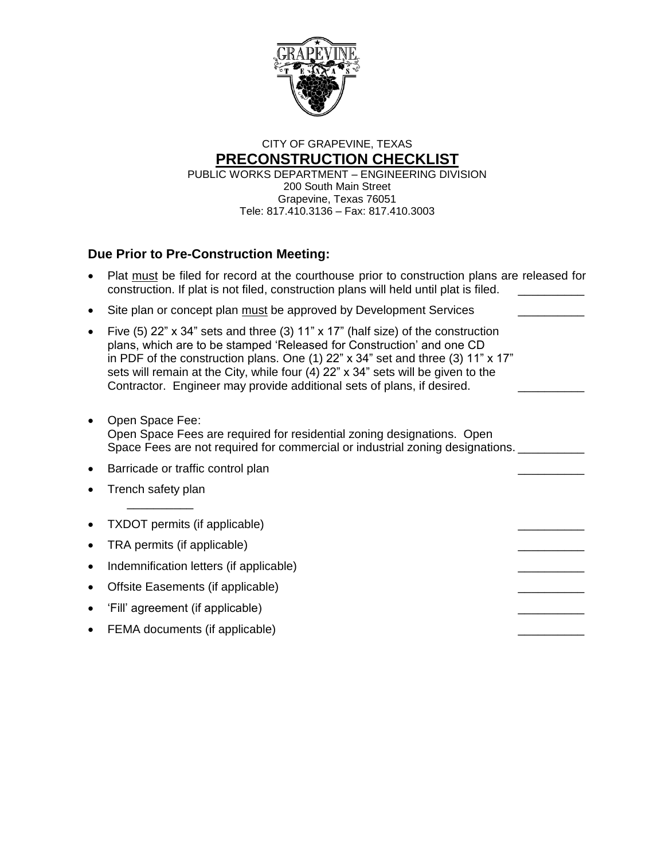

# CITY OF GRAPEVINE, TEXAS **PRECONSTRUCTION CHECKLIST**

PUBLIC WORKS DEPARTMENT – ENGINEERING DIVISION 200 South Main Street Grapevine, Texas 76051 Tele: 817.410.3136 – Fax: 817.410.3003

## **Due Prior to Pre-Construction Meeting:**

|           | Plat must be filed for record at the courthouse prior to construction plans are released for<br>construction. If plat is not filed, construction plans will held until plat is filed.                                                                                                                                                                                                                        |  |
|-----------|--------------------------------------------------------------------------------------------------------------------------------------------------------------------------------------------------------------------------------------------------------------------------------------------------------------------------------------------------------------------------------------------------------------|--|
|           | Site plan or concept plan must be approved by Development Services                                                                                                                                                                                                                                                                                                                                           |  |
|           | Five (5) $22$ " x 34" sets and three (3) 11" x 17" (half size) of the construction<br>plans, which are to be stamped 'Released for Construction' and one CD<br>in PDF of the construction plans. One (1) 22" x 34" set and three (3) 11" x 17"<br>sets will remain at the City, while four (4) 22" x 34" sets will be given to the<br>Contractor. Engineer may provide additional sets of plans, if desired. |  |
|           | Open Space Fee:<br>Open Space Fees are required for residential zoning designations. Open<br>Space Fees are not required for commercial or industrial zoning designations.                                                                                                                                                                                                                                   |  |
| $\bullet$ | Barricade or traffic control plan                                                                                                                                                                                                                                                                                                                                                                            |  |
|           | Trench safety plan                                                                                                                                                                                                                                                                                                                                                                                           |  |
|           | TXDOT permits (if applicable)                                                                                                                                                                                                                                                                                                                                                                                |  |
|           | TRA permits (if applicable)                                                                                                                                                                                                                                                                                                                                                                                  |  |
|           | Indemnification letters (if applicable)                                                                                                                                                                                                                                                                                                                                                                      |  |
|           | Offsite Easements (if applicable)                                                                                                                                                                                                                                                                                                                                                                            |  |
|           | 'Fill' agreement (if applicable)                                                                                                                                                                                                                                                                                                                                                                             |  |
|           | FEMA documents (if applicable)                                                                                                                                                                                                                                                                                                                                                                               |  |